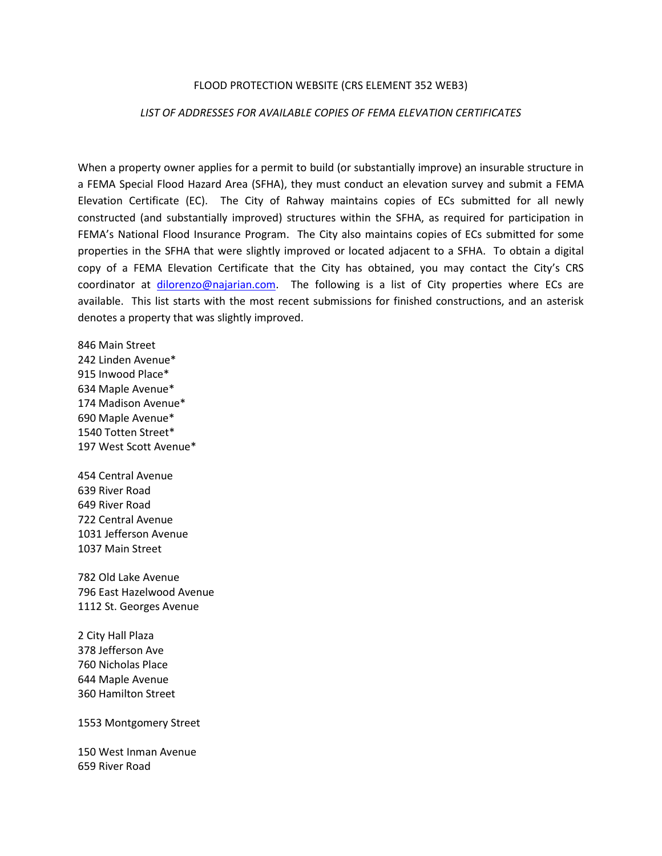## FLOOD PROTECTION WEBSITE (CRS ELEMENT 352 WEB3)

## *LIST OF ADDRESSES FOR AVAILABLE COPIES OF FEMA ELEVATION CERTIFICATES*

When a property owner applies for a permit to build (or substantially improve) an insurable structure in a FEMA Special Flood Hazard Area (SFHA), they must conduct an elevation survey and submit a FEMA Elevation Certificate (EC). The City of Rahway maintains copies of ECs submitted for all newly constructed (and substantially improved) structures within the SFHA, as required for participation in FEMA's National Flood Insurance Program. The City also maintains copies of ECs submitted for some properties in the SFHA that were slightly improved or located adjacent to a SFHA. To obtain a digital copy of a FEMA Elevation Certificate that the City has obtained, you may contact the City's CRS coordinator at [dilorenzo@najarian.com.](mailto:dilorenzo@najarian.com) The following is a list of City properties where ECs are available. This list starts with the most recent submissions for finished constructions, and an asterisk denotes a property that was slightly improved.

846 Main Street 242 Linden Avenue\* 915 Inwood Place\* 634 Maple Avenue\* 174 Madison Avenue\* 690 Maple Avenue\* 1540 Totten Street\* 197 West Scott Avenue\*

454 Central Avenue 639 River Road 649 River Road 722 Central Avenue 1031 Jefferson Avenue 1037 Main Street

782 Old Lake Avenue 796 East Hazelwood Avenue 1112 St. Georges Avenue

2 City Hall Plaza 378 Jefferson Ave 760 Nicholas Place 644 Maple Avenue 360 Hamilton Street

1553 Montgomery Street

150 West Inman Avenue 659 River Road